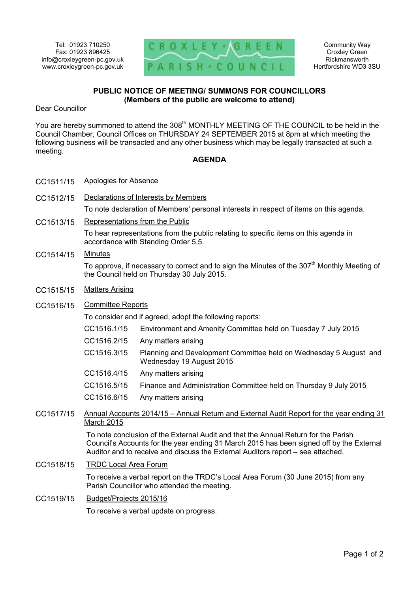

Community Way Croxley Green Rickmansworth Hertfordshire WD3 3SU

## **PUBLIC NOTICE OF MEETING/ SUMMONS FOR COUNCILLORS (Members of the public are welcome to attend)**

Dear Councillor

You are hereby summoned to attend the 308<sup>th</sup> MONTHLY MEETING OF THE COUNCIL to be held in the Council Chamber, Council Offices on THURSDAY 24 SEPTEMBER 2015 at 8pm at which meeting the following business will be transacted and any other business which may be legally transacted at such a meeting.

## **AGENDA**

- CC1511/15 Apologies for Absence
- CC1512/15 Declarations of Interests by Members

To note declaration of Members' personal interests in respect of items on this agenda.

CC1513/15 Representations from the Public

To hear representations from the public relating to specific items on this agenda in accordance with Standing Order 5.5.

## CC1514/15 Minutes

To approve, if necessary to correct and to sign the Minutes of the  $307<sup>th</sup>$  Monthly Meeting of the Council held on Thursday 30 July 2015.

- CC1515/15 Matters Arising
- CC1516/15 Committee Reports

To consider and if agreed, adopt the following reports:

- CC1516.1/15 Environment and Amenity Committee held on Tuesday 7 July 2015
- CC1516.2/15 Any matters arising
- CC1516.3/15 Planning and Development Committee held on Wednesday 5 August and Wednesday 19 August 2015
- CC1516.4/15 Any matters arising
- CC1516.5/15 Finance and Administration Committee held on Thursday 9 July 2015
- CC1516.6/15 Any matters arising
- CC1517/15 Annual Accounts 2014/15 Annual Return and External Audit Report for the year ending 31 March 2015

To note conclusion of the External Audit and that the Annual Return for the Parish Council's Accounts for the year ending 31 March 2015 has been signed off by the External Auditor and to receive and discuss the External Auditors report – see attached.

CC1518/15 TRDC Local Area Forum

To receive a verbal report on the TRDC's Local Area Forum (30 June 2015) from any Parish Councillor who attended the meeting.

CC1519/15 Budget/Projects 2015/16

To receive a verbal update on progress.